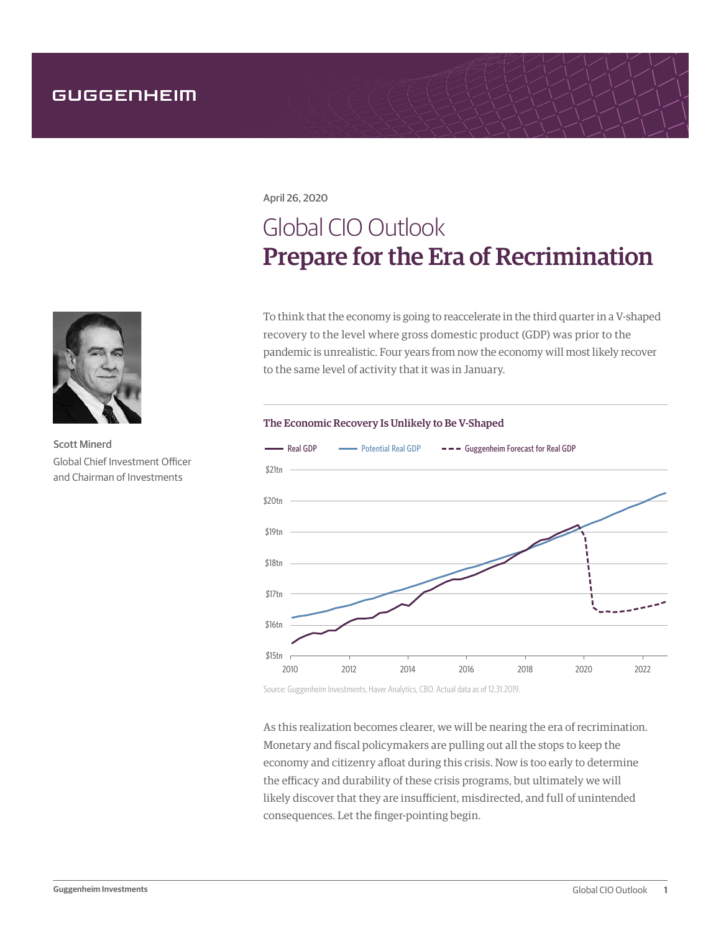April 26, 2020

# Global CIO Outlook Prepare for the Era of Recrimination

To think that the economy is going to reaccelerate in the third quarter in a V-shaped recovery to the level where gross domestic product (GDP) was prior to the pandemic is unrealistic. Four years from now the economy will most likely recover to the same level of activity that it was in January.

## The Economic Recovery Is Unlikely to Be V-Shaped



Source: Guggenheim Investments, Haver Analytics, CBO. Actual data as of 12.31.2019.

As this realization becomes clearer, we will be nearing the era of recrimination. Monetary and fiscal policymakers are pulling out all the stops to keep the economy and citizenry afloat during this crisis. Now is too early to determine the efficacy and durability of these crisis programs, but ultimately we will likely discover that they are insufficient, misdirected, and full of unintended consequences. Let the finger-pointing begin.



Scott Minerd Global Chief Investment Officer and Chairman of Investments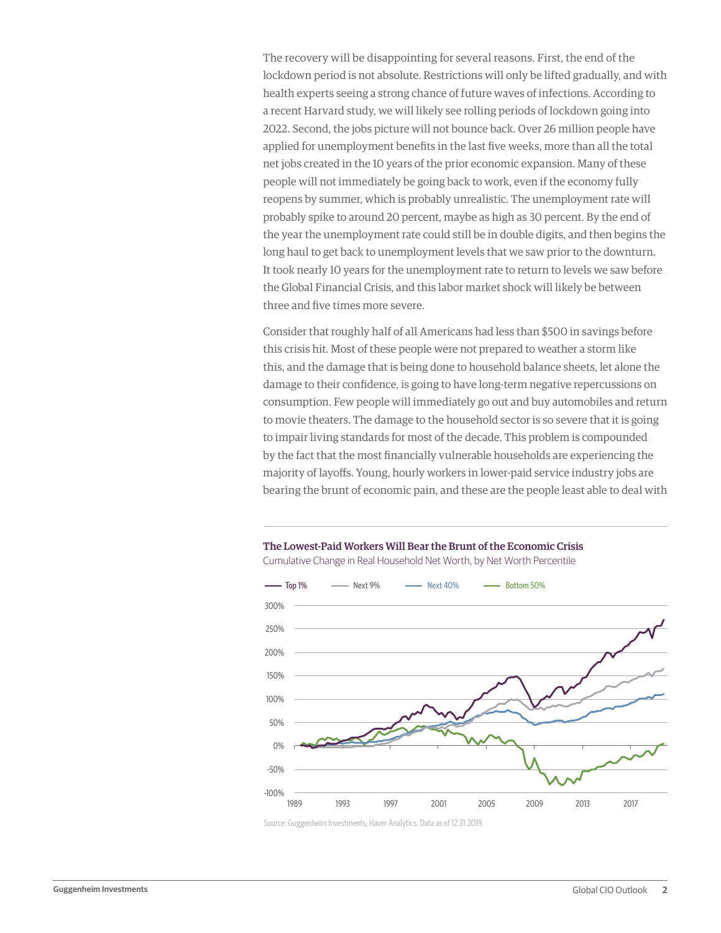The recovery will be disappointing for several reasons. First, the end of the lockdown period is not absolute. Restrictions will only be lifted gradually, and with health experts seeing a strong chance of future waves of infections. According to a recent Harvard study, we will likely see rolling periods of lockdown going into 2022. Second, the jobs picture will not bounce back. Over 26 million people have applied for unemployment benefits in the last five weeks, more than all the total net jobs created in the 10 years of the prior economic expansion. Many of these people will not immediately be going back to work, even if the economy fully reopens by summer, which is probably unrealistic. The unemployment rate will probably spike to around 20 percent, maybe as high as 30 percent. By the end of the year the unemployment rate could still be in double digits, and then begins the long haul to get back to unemployment levels that we saw prior to the downturn. It took nearly 10 years for the unemployment rate to return to levels we saw before the Global Financial Crisis, and this labor market shock will likely be between three and five times more severe.

Consider that roughly half of all Americans had less than \$500 in savings before this crisis hit. Most of these people were not prepared to weather a storm like this, and the damage that is being done to household balance sheets, let alone the damage to their confidence, is going to have long-term negative repercussions on consumption. Few people will immediately go out and buy automobiles and return to movie theaters. The damage to the household sector is so severe that it is going to impair living standards for most of the decade. This problem is compounded by the fact that the most financially vulnerable households are experiencing the majority of layoffs. Young, hourly workers in lower-paid service industry jobs are bearing the brunt of economic pain, and these are the people least able to deal with



The Lowest-Paid Workers Will Bear the Brunt of the Economic Crisis Cumulative Change in Real Household Net Worth, by Net Worth Percentile

Source: Guggenheim Investments, Haver Analytics. Data as of 12.31.2019.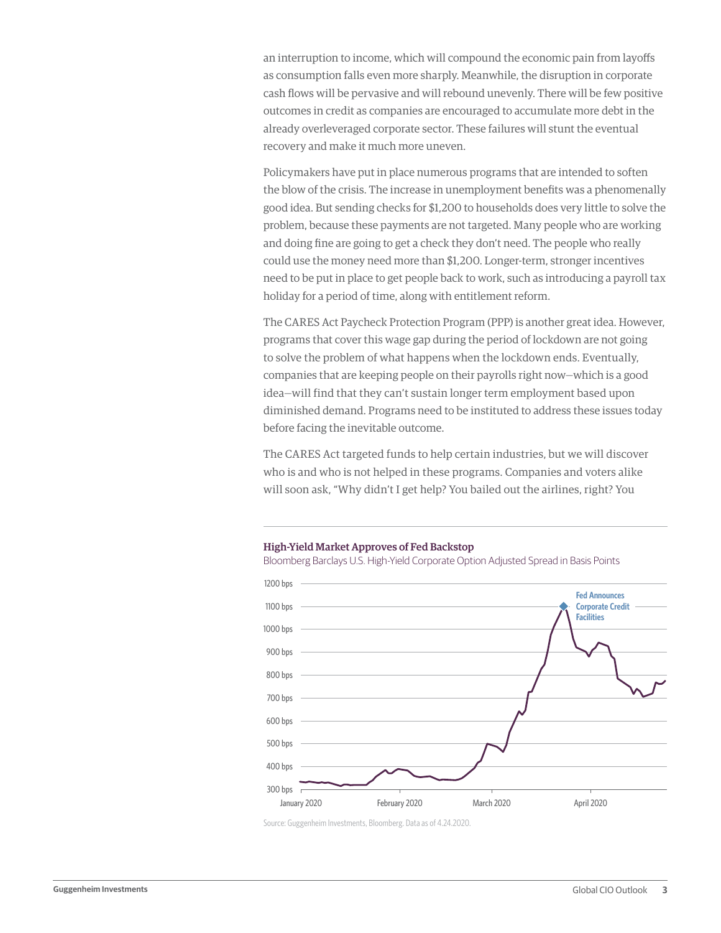an interruption to income, which will compound the economic pain from layoffs as consumption falls even more sharply. Meanwhile, the disruption in corporate cash flows will be pervasive and will rebound unevenly. There will be few positive outcomes in credit as companies are encouraged to accumulate more debt in the already overleveraged corporate sector. These failures will stunt the eventual recovery and make it much more uneven.

Policymakers have put in place numerous programs that are intended to soften the blow of the crisis. The increase in unemployment benefits was a phenomenally good idea. But sending checks for \$1,200 to households does very little to solve the problem, because these payments are not targeted. Many people who are working and doing fine are going to get a check they don't need. The people who really could use the money need more than \$1,200. Longer-term, stronger incentives need to be put in place to get people back to work, such as introducing a payroll tax holiday for a period of time, along with entitlement reform.

The CARES Act Paycheck Protection Program (PPP) is another great idea. However, programs that cover this wage gap during the period of lockdown are not going to solve the problem of what happens when the lockdown ends. Eventually, companies that are keeping people on their payrolls right now—which is a good idea—will find that they can't sustain longer term employment based upon diminished demand. Programs need to be instituted to address these issues today before facing the inevitable outcome.

The CARES Act targeted funds to help certain industries, but we will discover who is and who is not helped in these programs. Companies and voters alike will soon ask, "Why didn't I get help? You bailed out the airlines, right? You

### High-Yield Market Approves of Fed Backstop

Bloomberg Barclays U.S. High-Yield Corporate Option Adjusted Spread in Basis Points



Source: Guggenheim Investments, Bloomberg. Data as of 4.24.2020.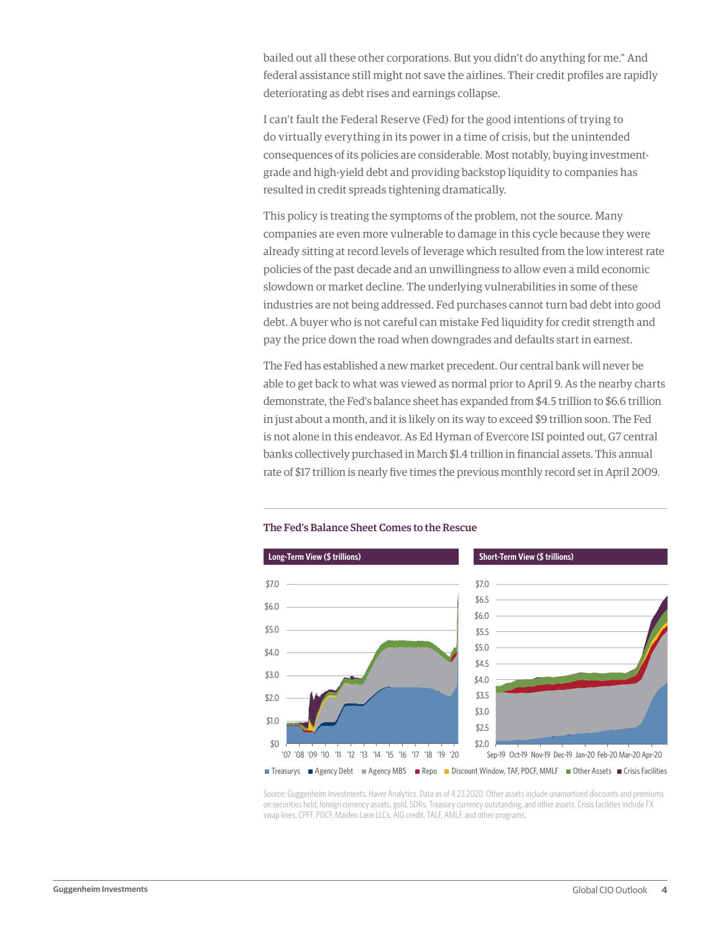bailed out all these other corporations. But you didn't do anything for me." And federal assistance still might not save the airlines. Their credit profiles are rapidly deteriorating as debt rises and earnings collapse.

I can't fault the Federal Reserve (Fed) for the good intentions of trying to do virtually everything in its power in a time of crisis, but the unintended consequences of its policies are considerable. Most notably, buying investmentgrade and high-yield debt and providing backstop liquidity to companies has resulted in credit spreads tightening dramatically.

This policy is treating the symptoms of the problem, not the source. Many companies are even more vulnerable to damage in this cycle because they were already sitting at record levels of leverage which resulted from the low interest rate policies of the past decade and an unwillingness to allow even a mild economic slowdown or market decline. The underlying vulnerabilities in some of these industries are not being addressed. Fed purchases cannot turn bad debt into good debt. A buyer who is not careful can mistake Fed liquidity for credit strength and pay the price down the road when downgrades and defaults start in earnest.

The Fed has established a new market precedent. Our central bank will never be able to get back to what was viewed as normal prior to April 9. As the nearby charts demonstrate, the Fed's balance sheet has expanded from \$4.5 trillion to \$6.6 trillion in just about a month, and it is likely on its way to exceed \$9 trillion soon. The Fed is not alone in this endeavor. As Ed Hyman of Evercore ISI pointed out, G7 central banks collectively purchased in March \$1.4 trillion in financial assets. This annual rate of \$17 trillion is nearly five times the previous monthly record set in April 2009.



## The Fed's Balance Sheet Comes to the Rescue

Source: Guggenheim Investments, Haver Analytics. Data as of 4.23.2020. Other assets include unamortized discounts and premiums on securities held, foreign currency assets, gold, SDRs, Treasury currency outstanding, and other assets. Crisis facilities include FX swap lines, CPFF, PDCF, Maiden Lane LLCs, AIG credit, TALF, AMLF, and other programs.